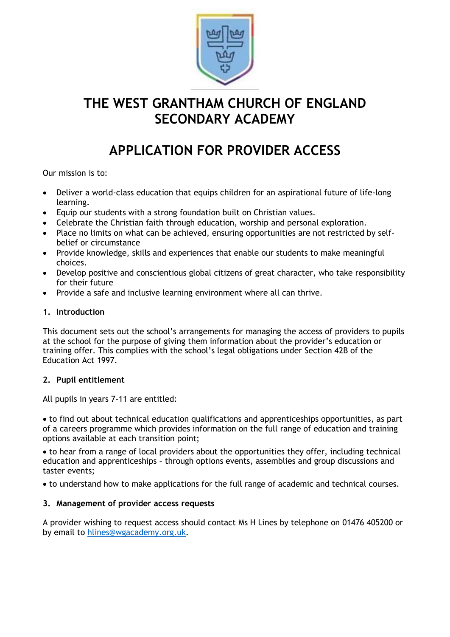

# **THE WEST GRANTHAM CHURCH OF ENGLAND SECONDARY ACADEMY**

# **APPLICATION FOR PROVIDER ACCESS**

Our mission is to:

- Deliver a world-class education that equips children for an aspirational future of life-long learning.
- Equip our students with a strong foundation built on Christian values.
- Celebrate the Christian faith through education, worship and personal exploration.
- Place no limits on what can be achieved, ensuring opportunities are not restricted by selfbelief or circumstance
- Provide knowledge, skills and experiences that enable our students to make meaningful choices.
- Develop positive and conscientious global citizens of great character, who take responsibility for their future
- Provide a safe and inclusive learning environment where all can thrive.

## **1. Introduction**

This document sets out the school's arrangements for managing the access of providers to pupils at the school for the purpose of giving them information about the provider's education or training offer. This complies with the school's legal obligations under Section 42B of the Education Act 1997.

#### **2. Pupil entitlement**

All pupils in years 7-11 are entitled:

• to find out about technical education qualifications and apprenticeships opportunities, as part of a careers programme which provides information on the full range of education and training options available at each transition point;

• to hear from a range of local providers about the opportunities they offer, including technical education and apprenticeships – through options events, assemblies and group discussions and taster events;

• to understand how to make applications for the full range of academic and technical courses.

#### **3. Management of provider access requests**

A provider wishing to request access should contact Ms H Lines by telephone on 01476 405200 or by email to [hlines@wgacademy.org.uk.](mailto:hlines@wgacademy.org.uk)